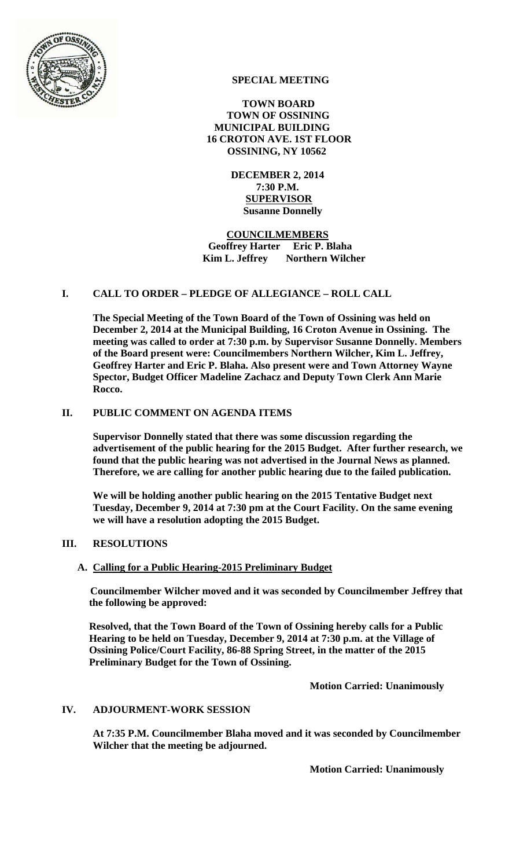

# **SPECIAL MEETING**

 **TOWN BOARD TOWN OF OSSINING MUNICIPAL BUILDING 16 CROTON AVE. 1ST FLOOR OSSINING, NY 10562** 

> **DECEMBER 2, 2014 7:30 P.M. SUPERVISOR Susanne Donnelly**

 **COUNCILMEMBERS Geoffrey Harter Eric P. Blaha Kim L. Jeffrey** Northern Wilcher

## **I. CALL TO ORDER – PLEDGE OF ALLEGIANCE – ROLL CALL**

**The Special Meeting of the Town Board of the Town of Ossining was held on December 2, 2014 at the Municipal Building, 16 Croton Avenue in Ossining. The meeting was called to order at 7:30 p.m. by Supervisor Susanne Donnelly. Members of the Board present were: Councilmembers Northern Wilcher, Kim L. Jeffrey, Geoffrey Harter and Eric P. Blaha. Also present were and Town Attorney Wayne Spector, Budget Officer Madeline Zachacz and Deputy Town Clerk Ann Marie Rocco.** 

### **II. PUBLIC COMMENT ON AGENDA ITEMS**

**Supervisor Donnelly stated that there was some discussion regarding the advertisement of the public hearing for the 2015 Budget. After further research, we found that the public hearing was not advertised in the Journal News as planned. Therefore, we are calling for another public hearing due to the failed publication.** 

**We will be holding another public hearing on the 2015 Tentative Budget next Tuesday, December 9, 2014 at 7:30 pm at the Court Facility. On the same evening we will have a resolution adopting the 2015 Budget.** 

#### **III. RESOLUTIONS**

#### **A. Calling for a Public Hearing-2015 Preliminary Budget**

**Councilmember Wilcher moved and it was seconded by Councilmember Jeffrey that the following be approved:** 

**Resolved, that the Town Board of the Town of Ossining hereby calls for a Public Hearing to be held on Tuesday, December 9, 2014 at 7:30 p.m. at the Village of Ossining Police/Court Facility, 86-88 Spring Street, in the matter of the 2015 Preliminary Budget for the Town of Ossining.** 

 **Motion Carried: Unanimously** 

#### **IV. ADJOURMENT-WORK SESSION**

**At 7:35 P.M. Councilmember Blaha moved and it was seconded by Councilmember Wilcher that the meeting be adjourned.** 

**Motion Carried: Unanimously**